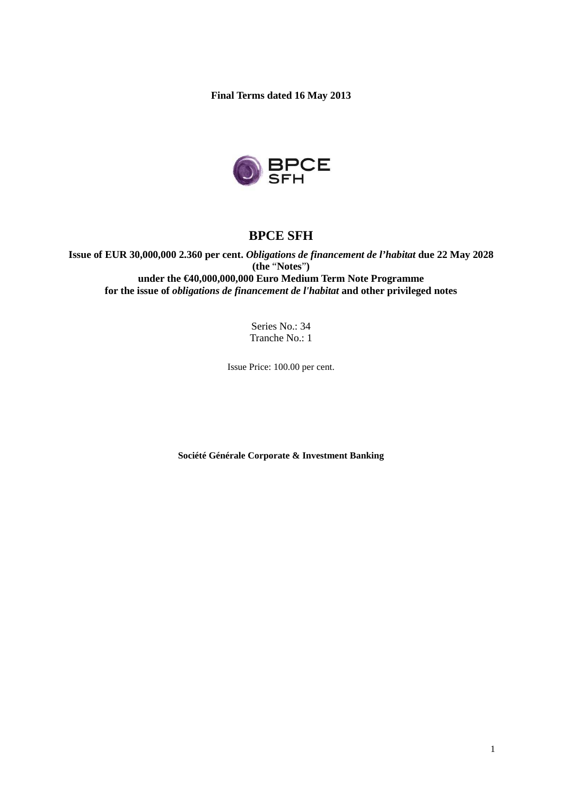**Final Terms dated 16 May 2013** 



# **BPCE SFH**

**Issue of EUR 30,000,000 2.360 per cent.** *Obligations de financement de l'habitat* **due 22 May 2028 (the** "**Notes**"**) under the €40,000,000,000 Euro Medium Term Note Programme for the issue of** *obligations de financement de l'habitat* **and other privileged notes** 

> Series No.: 34 Tranche No.: 1

Issue Price: 100.00 per cent.

**Société Générale Corporate & Investment Banking**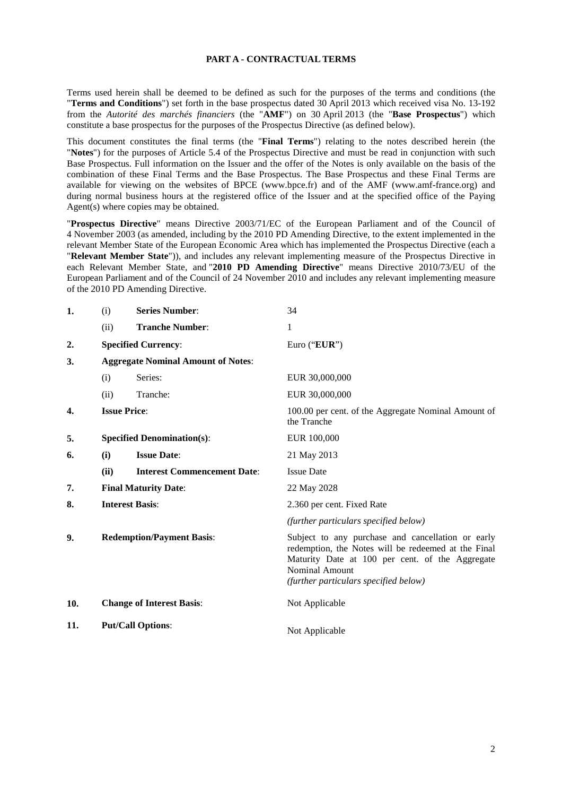#### **PART A - CONTRACTUAL TERMS**

Terms used herein shall be deemed to be defined as such for the purposes of the terms and conditions (the "**Terms and Conditions**") set forth in the base prospectus dated 30 April 2013 which received visa No. 13-192 from the *Autorité des marchés financiers* (the "**AMF**") on 30 April 2013 (the "**Base Prospectus**") which constitute a base prospectus for the purposes of the Prospectus Directive (as defined below).

This document constitutes the final terms (the "**Final Terms**") relating to the notes described herein (the "**Notes**") for the purposes of Article 5.4 of the Prospectus Directive and must be read in conjunction with such Base Prospectus. Full information on the Issuer and the offer of the Notes is only available on the basis of the combination of these Final Terms and the Base Prospectus. The Base Prospectus and these Final Terms are available for viewing on the websites of BPCE (www.bpce.fr) and of the AMF (www.amf-france.org) and during normal business hours at the registered office of the Issuer and at the specified office of the Paying Agent(s) where copies may be obtained.

"**Prospectus Directive**" means Directive 2003/71/EC of the European Parliament and of the Council of 4 November 2003 (as amended, including by the 2010 PD Amending Directive, to the extent implemented in the relevant Member State of the European Economic Area which has implemented the Prospectus Directive (each a "**Relevant Member State**")), and includes any relevant implementing measure of the Prospectus Directive in each Relevant Member State, and "**2010 PD Amending Directive**" means Directive 2010/73/EU of the European Parliament and of the Council of 24 November 2010 and includes any relevant implementing measure of the 2010 PD Amending Directive.

| 1.  | (i)                              | <b>Series Number:</b>                     | 34                                                                                                                                                                                                                     |
|-----|----------------------------------|-------------------------------------------|------------------------------------------------------------------------------------------------------------------------------------------------------------------------------------------------------------------------|
|     | (ii)                             | <b>Tranche Number:</b>                    | 1                                                                                                                                                                                                                      |
| 2.  |                                  | <b>Specified Currency:</b>                | Euro ("EUR")                                                                                                                                                                                                           |
| 3.  |                                  | <b>Aggregate Nominal Amount of Notes:</b> |                                                                                                                                                                                                                        |
|     | (i)                              | Series:                                   | EUR 30,000,000                                                                                                                                                                                                         |
|     | (ii)                             | Tranche:                                  | EUR 30,000,000                                                                                                                                                                                                         |
| 4.  |                                  | <b>Issue Price:</b>                       | 100.00 per cent. of the Aggregate Nominal Amount of<br>the Tranche                                                                                                                                                     |
| 5.  |                                  | <b>Specified Denomination(s):</b>         | EUR 100,000                                                                                                                                                                                                            |
| 6.  | (i)                              | <b>Issue Date:</b>                        | 21 May 2013                                                                                                                                                                                                            |
|     | (ii)                             | <b>Interest Commencement Date:</b>        | <b>Issue Date</b>                                                                                                                                                                                                      |
| 7.  |                                  | <b>Final Maturity Date:</b>               | 22 May 2028                                                                                                                                                                                                            |
| 8.  | <b>Interest Basis:</b>           |                                           | 2.360 per cent. Fixed Rate                                                                                                                                                                                             |
|     |                                  |                                           | (further particulars specified below)                                                                                                                                                                                  |
| 9.  | <b>Redemption/Payment Basis:</b> |                                           | Subject to any purchase and cancellation or early<br>redemption, the Notes will be redeemed at the Final<br>Maturity Date at 100 per cent. of the Aggregate<br>Nominal Amount<br>(further particulars specified below) |
| 10. |                                  | <b>Change of Interest Basis:</b>          | Not Applicable                                                                                                                                                                                                         |
| 11. |                                  | <b>Put/Call Options:</b>                  | Not Applicable                                                                                                                                                                                                         |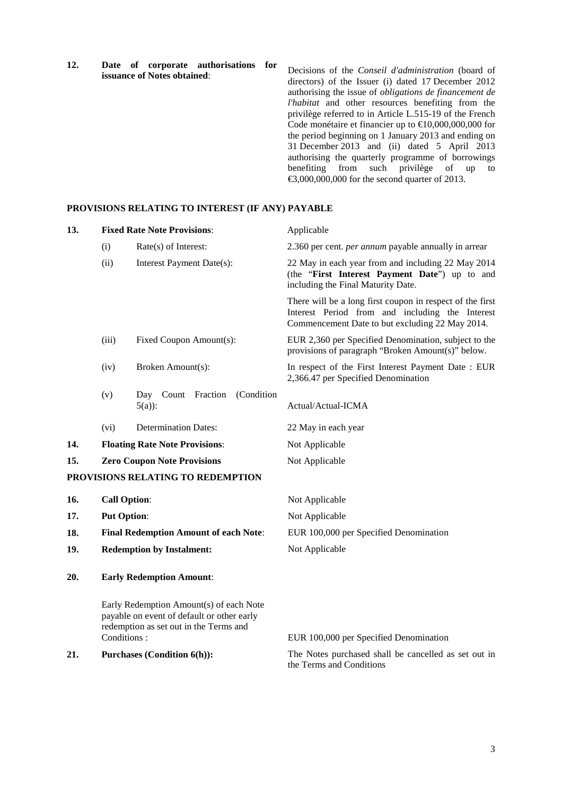**12. Date of corporate authorisations for issuance of Notes obtained**:

Decisions of the *Conseil d'administration* (board of directors) of the Issuer (i) dated 17 December 2012 authorising the issue of *obligations de financement de l'habitat* and other resources benefiting from the privilège referred to in Article L.515-19 of the French Code monétaire et financier up to  $\text{\textsterling}10,000,000,000$  for the period beginning on 1 January 2013 and ending on 31 December 2013 and (ii) dated 5 April 2013 authorising the quarterly programme of borrowings benefiting from such privilège of up to €3,000,000,000 for the second quarter of 2013.

### **PROVISIONS RELATING TO INTEREST (IF ANY) PAYABLE**

| 13. |                                    | <b>Fixed Rate Note Provisions:</b>                                                                                              | Applicable                                                                                                                                                      |
|-----|------------------------------------|---------------------------------------------------------------------------------------------------------------------------------|-----------------------------------------------------------------------------------------------------------------------------------------------------------------|
|     | (i)                                | $Rate(s)$ of Interest:                                                                                                          | 2.360 per cent. <i>per annum</i> payable annually in arrear                                                                                                     |
|     | (ii)                               | Interest Payment Date(s):                                                                                                       | 22 May in each year from and including 22 May 2014<br>(the "First Interest Payment Date") up to and<br>including the Final Maturity Date.                       |
|     |                                    |                                                                                                                                 | There will be a long first coupon in respect of the first<br>Interest Period from and including the Interest<br>Commencement Date to but excluding 22 May 2014. |
|     | (iii)                              | Fixed Coupon Amount(s):                                                                                                         | EUR 2,360 per Specified Denomination, subject to the<br>provisions of paragraph "Broken Amount(s)" below.                                                       |
|     | (iv)                               | Broken Amount(s):                                                                                                               | In respect of the First Interest Payment Date: EUR<br>2,366.47 per Specified Denomination                                                                       |
|     | (v)                                | (Condition<br>Count Fraction<br>Day<br>$5(a)$ :                                                                                 | Actual/Actual-ICMA                                                                                                                                              |
|     | (vi)                               | <b>Determination Dates:</b>                                                                                                     | 22 May in each year                                                                                                                                             |
| 14. |                                    | <b>Floating Rate Note Provisions:</b>                                                                                           | Not Applicable                                                                                                                                                  |
| 15. | <b>Zero Coupon Note Provisions</b> |                                                                                                                                 | Not Applicable                                                                                                                                                  |
|     |                                    | PROVISIONS RELATING TO REDEMPTION                                                                                               |                                                                                                                                                                 |
| 16. |                                    | <b>Call Option:</b>                                                                                                             | Not Applicable                                                                                                                                                  |
| 17. | <b>Put Option:</b>                 |                                                                                                                                 | Not Applicable                                                                                                                                                  |
| 18. |                                    | <b>Final Redemption Amount of each Note:</b>                                                                                    | EUR 100,000 per Specified Denomination                                                                                                                          |
| 19. |                                    | <b>Redemption by Instalment:</b>                                                                                                | Not Applicable                                                                                                                                                  |
| 20. |                                    | <b>Early Redemption Amount:</b>                                                                                                 |                                                                                                                                                                 |
|     | Conditions:                        | Early Redemption Amount(s) of each Note<br>payable on event of default or other early<br>redemption as set out in the Terms and | EUR 100,000 per Specified Denomination                                                                                                                          |
| 21. |                                    | <b>Purchases (Condition 6(h)):</b>                                                                                              | The Notes purchased shall be cancelled as set out in<br>the Terms and Conditions                                                                                |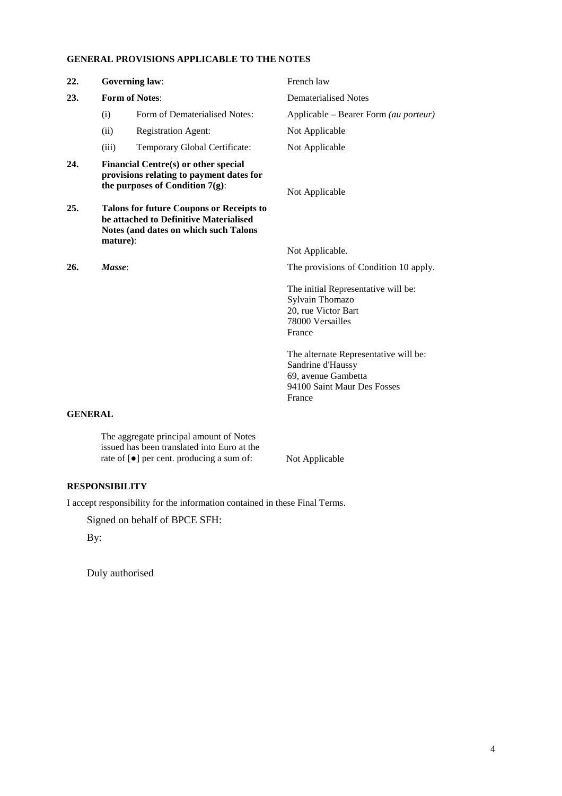# **GENERAL PROVISIONS APPLICABLE TO THE NOTES**

| 22.       | <b>Governing law:</b>                                                                                                                    |                                                                                                                                    | French law                                                                                                                 |
|-----------|------------------------------------------------------------------------------------------------------------------------------------------|------------------------------------------------------------------------------------------------------------------------------------|----------------------------------------------------------------------------------------------------------------------------|
| 23.       | <b>Form of Notes:</b>                                                                                                                    |                                                                                                                                    | <b>Dematerialised Notes</b>                                                                                                |
|           | (i)                                                                                                                                      | Form of Dematerialised Notes:                                                                                                      | Applicable - Bearer Form (au porteur)                                                                                      |
|           | (ii)                                                                                                                                     | <b>Registration Agent:</b>                                                                                                         | Not Applicable                                                                                                             |
|           | (iii)                                                                                                                                    | Temporary Global Certificate:                                                                                                      | Not Applicable                                                                                                             |
| 24.       | Financial Centre(s) or other special<br>provisions relating to payment dates for<br>the purposes of Condition $7(g)$ :<br>Not Applicable |                                                                                                                                    |                                                                                                                            |
| 25.       | mature):                                                                                                                                 | <b>Talons for future Coupons or Receipts to</b><br>be attached to Definitive Materialised<br>Notes (and dates on which such Talons |                                                                                                                            |
|           |                                                                                                                                          |                                                                                                                                    | Not Applicable.                                                                                                            |
| 26.       | Masse:                                                                                                                                   |                                                                                                                                    | The provisions of Condition 10 apply.                                                                                      |
|           |                                                                                                                                          |                                                                                                                                    | The initial Representative will be:<br>Sylvain Thomazo<br>20, rue Victor Bart<br>78000 Versailles<br>France                |
|           |                                                                                                                                          |                                                                                                                                    | The alternate Representative will be:<br>Sandrine d'Haussy<br>69, avenue Gambetta<br>94100 Saint Maur Des Fosses<br>France |
| CENED A I |                                                                                                                                          |                                                                                                                                    |                                                                                                                            |

#### **GENERAL**

The aggregate principal amount of Notes issued has been translated into Euro at the rate of [●] per cent. producing a sum of: Not Applicable

# **RESPONSIBILITY**

I accept responsibility for the information contained in these Final Terms.

Signed on behalf of BPCE SFH:

By:

Duly authorised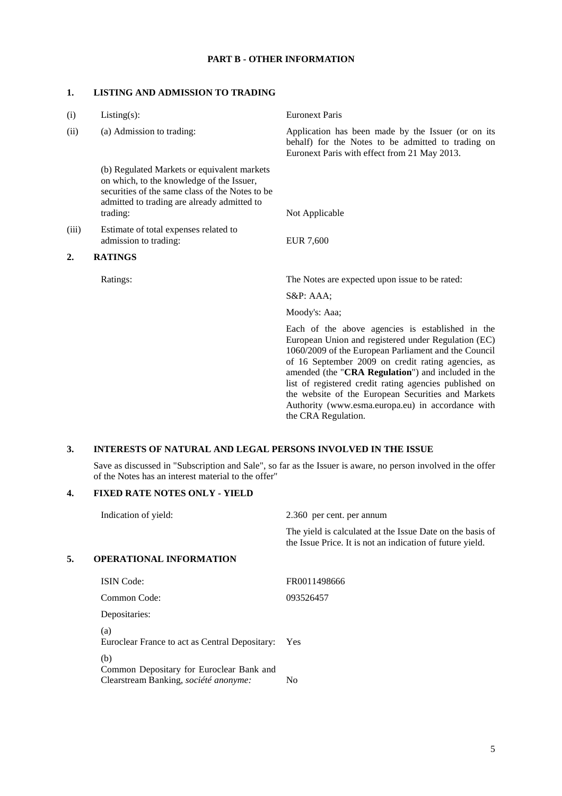# **PART B - OTHER INFORMATION**

### **1. LISTING AND ADMISSION TO TRADING**

| $Listing(s)$ :                                                                                                                                                                                         | <b>Euronext Paris</b>                                                                                                                                                                                                                                                                                                                                                                                                                                                   |
|--------------------------------------------------------------------------------------------------------------------------------------------------------------------------------------------------------|-------------------------------------------------------------------------------------------------------------------------------------------------------------------------------------------------------------------------------------------------------------------------------------------------------------------------------------------------------------------------------------------------------------------------------------------------------------------------|
| (a) Admission to trading:                                                                                                                                                                              | Application has been made by the Issuer (or on its<br>behalf) for the Notes to be admitted to trading on<br>Euronext Paris with effect from 21 May 2013.                                                                                                                                                                                                                                                                                                                |
| (b) Regulated Markets or equivalent markets<br>on which, to the knowledge of the Issuer,<br>securities of the same class of the Notes to be<br>admitted to trading are already admitted to<br>trading: | Not Applicable                                                                                                                                                                                                                                                                                                                                                                                                                                                          |
| Estimate of total expenses related to<br>admission to trading:                                                                                                                                         | <b>EUR 7,600</b>                                                                                                                                                                                                                                                                                                                                                                                                                                                        |
| <b>RATINGS</b>                                                                                                                                                                                         |                                                                                                                                                                                                                                                                                                                                                                                                                                                                         |
| Ratings:                                                                                                                                                                                               | The Notes are expected upon issue to be rated:                                                                                                                                                                                                                                                                                                                                                                                                                          |
|                                                                                                                                                                                                        | $S\&P: AAA;$                                                                                                                                                                                                                                                                                                                                                                                                                                                            |
|                                                                                                                                                                                                        | Moody's: Aaa;                                                                                                                                                                                                                                                                                                                                                                                                                                                           |
|                                                                                                                                                                                                        | Each of the above agencies is established in the<br>European Union and registered under Regulation (EC)<br>1060/2009 of the European Parliament and the Council<br>of 16 September 2009 on credit rating agencies, as<br>amended (the "CRA Regulation") and included in the<br>list of registered credit rating agencies published on<br>the website of the European Securities and Markets<br>Authority (www.esma.europa.eu) in accordance with<br>the CRA Regulation. |
|                                                                                                                                                                                                        |                                                                                                                                                                                                                                                                                                                                                                                                                                                                         |

# **3. INTERESTS OF NATURAL AND LEGAL PERSONS INVOLVED IN THE ISSUE**

Save as discussed in "Subscription and Sale", so far as the Issuer is aware, no person involved in the offer of the Notes has an interest material to the offer"

# **4. FIXED RATE NOTES ONLY - YIELD**

| Indication of yield: |                                                       | 2.360 per cent. per annum                                                                                              |  |
|----------------------|-------------------------------------------------------|------------------------------------------------------------------------------------------------------------------------|--|
|                      |                                                       | The yield is calculated at the Issue Date on the basis of<br>the Issue Price. It is not an indication of future yield. |  |
| 5.                   | <b>OPERATIONAL INFORMATION</b>                        |                                                                                                                        |  |
|                      | <b>ISIN</b> Code:                                     | FR0011498666                                                                                                           |  |
|                      | Common Code:                                          | 093526457                                                                                                              |  |
|                      | Depositaries:                                         |                                                                                                                        |  |
|                      | (a)<br>Euroclear France to act as Central Depositary: | Yes                                                                                                                    |  |
|                      | (b)<br>Common Depositary for Euroclear Bank and       |                                                                                                                        |  |
|                      | Clearstream Banking, société anonyme:                 | No                                                                                                                     |  |